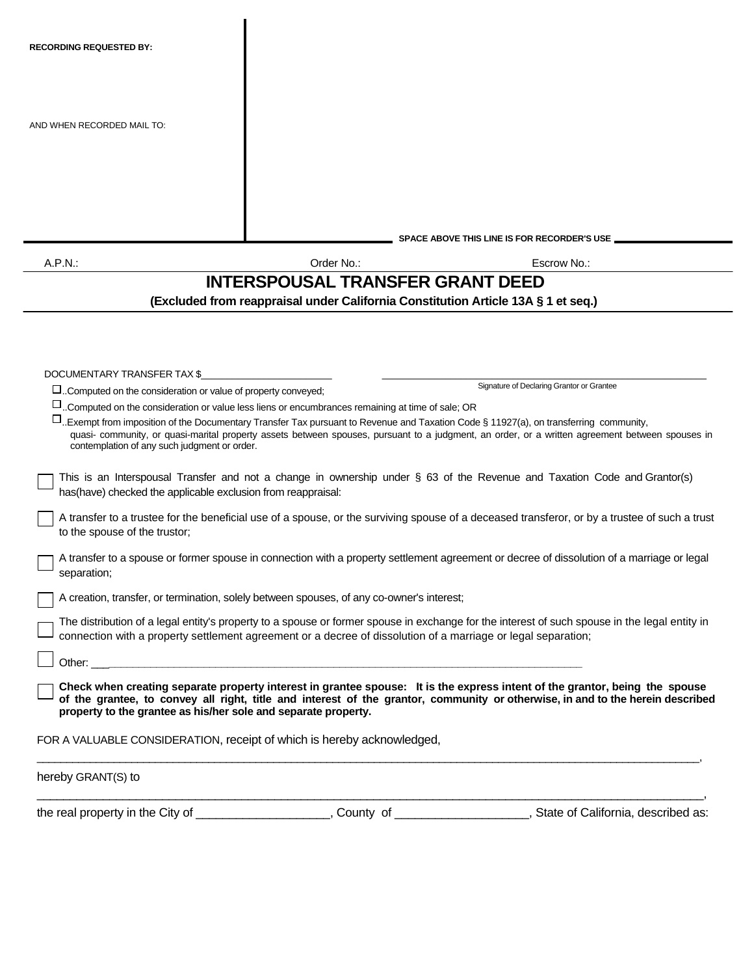| <b>RECORDING REQUESTED BY:</b>                                                                                                                                                                                                 |                                         |                                                                                                                                                                                                                                                                                                 |
|--------------------------------------------------------------------------------------------------------------------------------------------------------------------------------------------------------------------------------|-----------------------------------------|-------------------------------------------------------------------------------------------------------------------------------------------------------------------------------------------------------------------------------------------------------------------------------------------------|
| AND WHEN RECORDED MAIL TO:                                                                                                                                                                                                     |                                         |                                                                                                                                                                                                                                                                                                 |
|                                                                                                                                                                                                                                |                                         |                                                                                                                                                                                                                                                                                                 |
|                                                                                                                                                                                                                                |                                         | SPACE ABOVE THIS LINE IS FOR RECORDER'S USE                                                                                                                                                                                                                                                     |
| A.P.N.:                                                                                                                                                                                                                        | Order No.:                              | Escrow No.:                                                                                                                                                                                                                                                                                     |
|                                                                                                                                                                                                                                | <b>INTERSPOUSAL TRANSFER GRANT DEED</b> |                                                                                                                                                                                                                                                                                                 |
|                                                                                                                                                                                                                                |                                         | (Excluded from reappraisal under California Constitution Article 13A § 1 et seq.)                                                                                                                                                                                                               |
|                                                                                                                                                                                                                                |                                         |                                                                                                                                                                                                                                                                                                 |
|                                                                                                                                                                                                                                |                                         |                                                                                                                                                                                                                                                                                                 |
| DOCUMENTARY TRANSFER TAX \$                                                                                                                                                                                                    |                                         | Signature of Declaring Grantor or Grantee                                                                                                                                                                                                                                                       |
| $\square$ Computed on the consideration or value of property conveyed;                                                                                                                                                         |                                         |                                                                                                                                                                                                                                                                                                 |
| $\square$ Computed on the consideration or value less liens or encumbrances remaining at time of sale; OR<br>contemplation of any such judgment or order.                                                                      |                                         | $\Box$ . Exempt from imposition of the Documentary Transfer Tax pursuant to Revenue and Taxation Code § 11927(a), on transferring community,<br>quasi- community, or quasi-marital property assets between spouses, pursuant to a judgment, an order, or a written agreement between spouses in |
| has(have) checked the applicable exclusion from reappraisal:                                                                                                                                                                   |                                         | This is an Interspousal Transfer and not a change in ownership under § 63 of the Revenue and Taxation Code and Grantor(s)                                                                                                                                                                       |
| to the spouse of the trustor;                                                                                                                                                                                                  |                                         | A transfer to a trustee for the beneficial use of a spouse, or the surviving spouse of a deceased transferor, or by a trustee of such a trust                                                                                                                                                   |
| separation;                                                                                                                                                                                                                    |                                         | A transfer to a spouse or former spouse in connection with a property settlement agreement or decree of dissolution of a marriage or legal                                                                                                                                                      |
| A creation, transfer, or termination, solely between spouses, of any co-owner's interest;                                                                                                                                      |                                         |                                                                                                                                                                                                                                                                                                 |
|                                                                                                                                                                                                                                |                                         | The distribution of a legal entity's property to a spouse or former spouse in exchange for the interest of such spouse in the legal entity in<br>connection with a property settlement agreement or a decree of dissolution of a marriage or legal separation;                                  |
| Other: will be a state of the state of the state of the state of the state of the state of the state of the state of the state of the state of the state of the state of the state of the state of the state of the state of t |                                         |                                                                                                                                                                                                                                                                                                 |
| property to the grantee as his/her sole and separate property.                                                                                                                                                                 |                                         | Check when creating separate property interest in grantee spouse: It is the express intent of the grantor, being the spouse<br>of the grantee, to convey all right, title and interest of the grantor, community or otherwise, in and to the herein described                                   |
| FOR A VALUABLE CONSIDERATION, receipt of which is hereby acknowledged,                                                                                                                                                         |                                         |                                                                                                                                                                                                                                                                                                 |
| hereby GRANT(S) to                                                                                                                                                                                                             |                                         |                                                                                                                                                                                                                                                                                                 |

the real property in the City of \_\_\_\_\_\_\_\_\_\_\_\_\_\_\_\_\_\_\_\_, County of \_\_\_\_\_\_\_\_\_\_\_\_\_\_\_\_, State of California, described as: